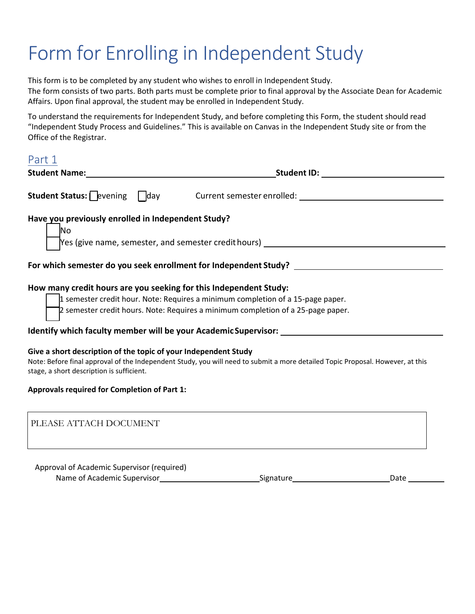# Form for Enrolling in Independent Study

This form is to be completed by any student who wishes to enroll in Independent Study. The form consists of two parts. Both parts must be complete prior to final approval by the Associate Dean for Academic Affairs. Upon final approval, the student may be enrolled in Independent Study.

To understand the requirements for Independent Study, and before completing this Form, the student should read "Independent Study Process and Guidelines." This is available on Canvas in the Independent Study site or from the Office of the Registrar.

| Part 1                                                                                                       |                                                                                                                                                                                                                                                          |
|--------------------------------------------------------------------------------------------------------------|----------------------------------------------------------------------------------------------------------------------------------------------------------------------------------------------------------------------------------------------------------|
|                                                                                                              | Student Name: Student ID: Student ID:                                                                                                                                                                                                                    |
|                                                                                                              | Student Status: evening day current semester enrolled: _________________________                                                                                                                                                                         |
| Have you previously enrolled in Independent Study?<br><b>No</b>                                              | $\gamma$ es (give name, semester, and semester credit hours) $\frac{\gamma}{\gamma}$                                                                                                                                                                     |
| For which semester do you seek enrollment for Independent Study? ________________                            |                                                                                                                                                                                                                                                          |
| How many credit hours are you seeking for this Independent Study:                                            | 1 semester credit hour. Note: Requires a minimum completion of a 15-page paper.<br>2 semester credit hours. Note: Requires a minimum completion of a 25-page paper.<br>Identify which faculty member will be your Academic Supervisor: _________________ |
| Give a short description of the topic of your Independent Study<br>stage, a short description is sufficient. | Note: Before final approval of the Independent Study, you will need to submit a more detailed Topic Proposal. However, at this                                                                                                                           |
| <b>Approvals required for Completion of Part 1:</b>                                                          |                                                                                                                                                                                                                                                          |
| PLEASE ATTACH DOCUMENT                                                                                       |                                                                                                                                                                                                                                                          |

Approval of Academic Supervisor (required) Name of Academic Supervisor Signature Date